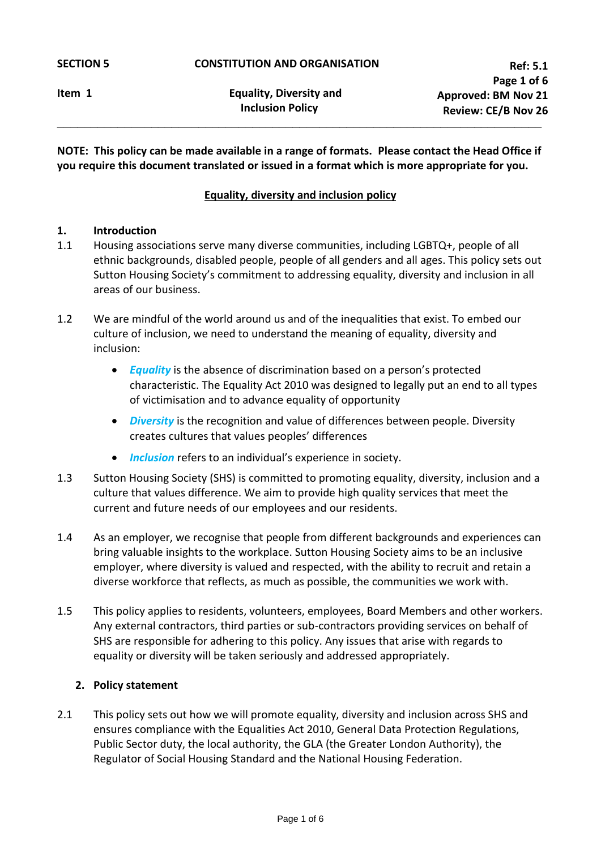**NOTE: This policy can be made available in a range of formats. Please contact the Head Office if you require this document translated or issued in a format which is more appropriate for you.**

**\_\_\_\_\_\_\_\_\_\_\_\_\_\_\_\_\_\_\_\_\_\_\_\_\_\_\_\_\_\_\_\_\_\_\_\_\_\_\_\_\_\_\_\_\_\_\_\_\_\_\_\_\_\_\_\_\_\_\_\_\_\_\_\_\_\_\_\_\_\_\_\_**

# **Equality, diversity and inclusion policy**

### **1. Introduction**

- 1.1 Housing associations serve many diverse communities, including LGBTQ+, people of all ethnic backgrounds, disabled people, people of all genders and all ages. This policy sets out Sutton Housing Society's commitment to addressing equality, diversity and inclusion in all areas of our business.
- 1.2 We are mindful of the world around us and of the inequalities that exist. To embed our culture of inclusion, we need to understand the meaning of equality, diversity and inclusion:
	- *Equality* is the absence of discrimination based on a person's protected characteristic. The Equality Act 2010 was designed to legally put an end to all types of victimisation and to advance equality of opportunity
	- *Diversity* is the recognition and value of differences between people. Diversity creates cultures that values peoples' differences
	- *Inclusion* refers to an individual's experience in society.
- 1.3 Sutton Housing Society (SHS) is committed to promoting equality, diversity, inclusion and a culture that values difference. We aim to provide high quality services that meet the current and future needs of our employees and our residents.
- 1.4 As an employer, we recognise that people from different backgrounds and experiences can bring valuable insights to the workplace. Sutton Housing Society aims to be an inclusive employer, where diversity is valued and respected, with the ability to recruit and retain a diverse workforce that reflects, as much as possible, the communities we work with.
- 1.5 This policy applies to residents, volunteers, employees, Board Members and other workers. Any external contractors, third parties or sub-contractors providing services on behalf of SHS are responsible for adhering to this policy. Any issues that arise with regards to equality or diversity will be taken seriously and addressed appropriately.

#### **2. Policy statement**

2.1 This policy sets out how we will promote equality, diversity and inclusion across SHS and ensures compliance with the Equalities Act 2010, General Data Protection Regulations, Public Sector duty, the local authority, the GLA (the Greater London Authority), the Regulator of Social Housing Standard and the National Housing Federation.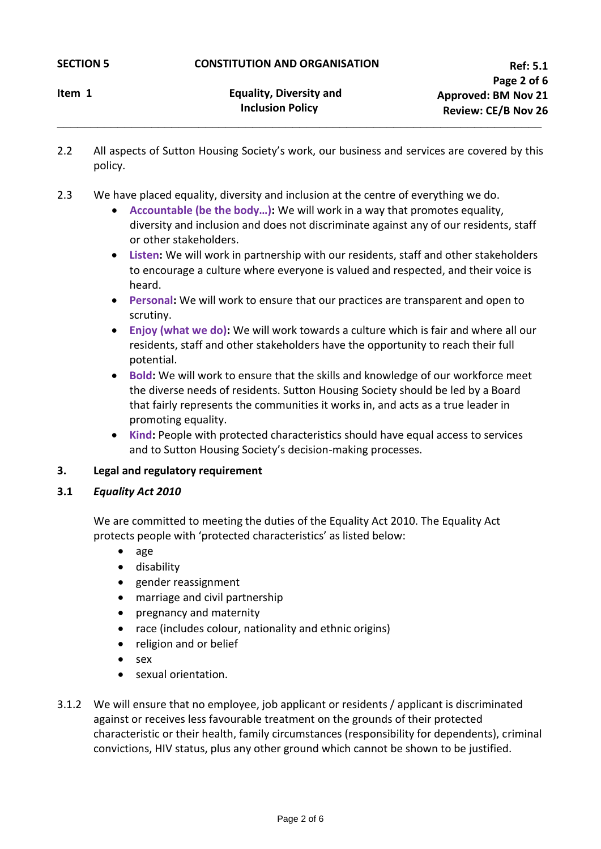**Item 1** Equality, Diversity and  **Inclusion Policy** 

2.2 All aspects of Sutton Housing Society's work, our business and services are covered by this policy.

**\_\_\_\_\_\_\_\_\_\_\_\_\_\_\_\_\_\_\_\_\_\_\_\_\_\_\_\_\_\_\_\_\_\_\_\_\_\_\_\_\_\_\_\_\_\_\_\_\_\_\_\_\_\_\_\_\_\_\_\_\_\_\_\_\_\_\_\_\_\_\_\_**

- 2.3 We have placed equality, diversity and inclusion at the centre of everything we do.
	- **Accountable (be the body…):** We will work in a way that promotes equality, diversity and inclusion and does not discriminate against any of our residents, staff or other stakeholders.
	- **Listen:** We will work in partnership with our residents, staff and other stakeholders to encourage a culture where everyone is valued and respected, and their voice is heard.
	- **Personal:** We will work to ensure that our practices are transparent and open to scrutiny.
	- **Enjoy (what we do):** We will work towards a culture which is fair and where all our residents, staff and other stakeholders have the opportunity to reach their full potential.
	- **Bold:** We will work to ensure that the skills and knowledge of our workforce meet the diverse needs of residents. Sutton Housing Society should be led by a Board that fairly represents the communities it works in, and acts as a true leader in promoting equality.
	- **Kind:** People with protected characteristics should have equal access to services and to Sutton Housing Society's decision-making processes.
- **3. Legal and regulatory requirement**
- **3.1** *Equality Act 2010*

We are committed to meeting the duties of the Equality Act 2010. The Equality Act protects people with 'protected characteristics' as listed below:

- age
- disability
- gender reassignment
- marriage and civil partnership
- pregnancy and maternity
- race (includes colour, nationality and ethnic origins)
- religion and or belief
- sex
- sexual orientation.
- 3.1.2 We will ensure that no employee, job applicant or residents / applicant is discriminated against or receives less favourable treatment on the grounds of their protected characteristic or their health, family circumstances (responsibility for dependents), criminal convictions, HIV status, plus any other ground which cannot be shown to be justified.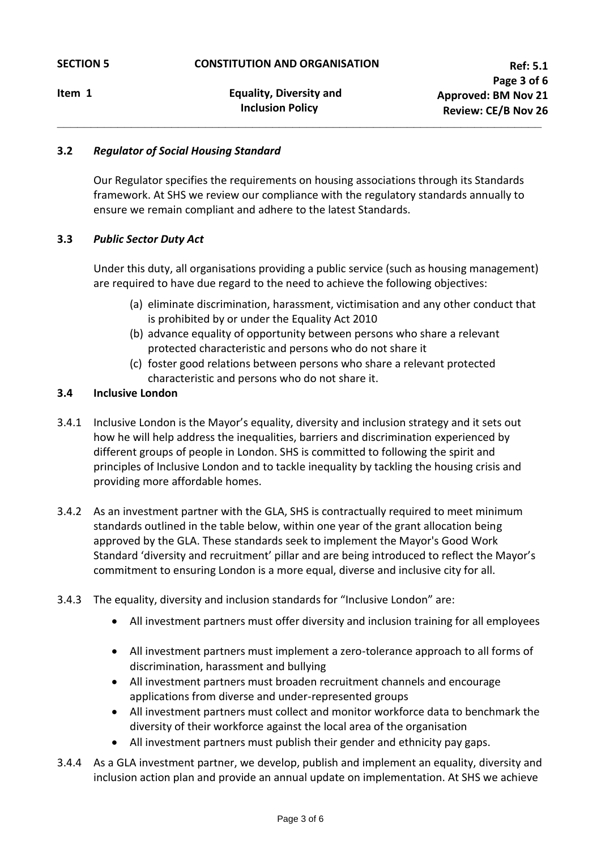**\_\_\_\_\_\_\_\_\_\_\_\_\_\_\_\_\_\_\_\_\_\_\_\_\_\_\_\_\_\_\_\_\_\_\_\_\_\_\_\_\_\_\_\_\_\_\_\_\_\_\_\_\_\_\_\_\_\_\_\_\_\_\_\_\_\_\_\_\_\_\_\_**

# **3.2** *Regulator of Social Housing Standard*

Our Regulator specifies the requirements on housing associations through its Standards framework. At SHS we review our compliance with the regulatory standards annually to ensure we remain compliant and adhere to the latest Standards.

# **3.3** *Public Sector Duty Act*

Under this duty, all organisations providing a public service (such as housing management) are required to have due regard to the need to achieve the following objectives:

- (a) eliminate discrimination, harassment, victimisation and any other conduct that is prohibited by or under the Equality Act 2010
- (b) advance equality of opportunity between persons who share a relevant protected characteristic and persons who do not share it
- (c) foster good relations between persons who share a relevant protected characteristic and persons who do not share it.

# **3.4 Inclusive London**

- 3.4.1 Inclusive London is the Mayor's equality, diversity and inclusion strategy and it sets out how he will help address the inequalities, barriers and discrimination experienced by different groups of people in London. SHS is committed to following the spirit and principles of Inclusive London and to tackle inequality by tackling the housing crisis and providing more affordable homes.
- 3.4.2 As an investment partner with the GLA, SHS is contractually required to meet minimum standards outlined in the table below, within one year of the grant allocation being approved by the GLA. These standards seek to implement the Mayor's Good Work Standard 'diversity and recruitment' pillar and are being introduced to reflect the Mayor's commitment to ensuring London is a more equal, diverse and inclusive city for all.
- 3.4.3 The equality, diversity and inclusion standards for "Inclusive London" are:
	- All investment partners must offer diversity and inclusion training for all employees
	- All investment partners must implement a zero-tolerance approach to all forms of discrimination, harassment and bullying
	- All investment partners must broaden recruitment channels and encourage applications from diverse and under-represented groups
	- All investment partners must collect and monitor workforce data to benchmark the diversity of their workforce against the local area of the organisation
	- All investment partners must publish their gender and ethnicity pay gaps.
- 3.4.4 As a GLA investment partner, we develop, publish and implement an equality, diversity and inclusion action plan and provide an annual update on implementation. At SHS we achieve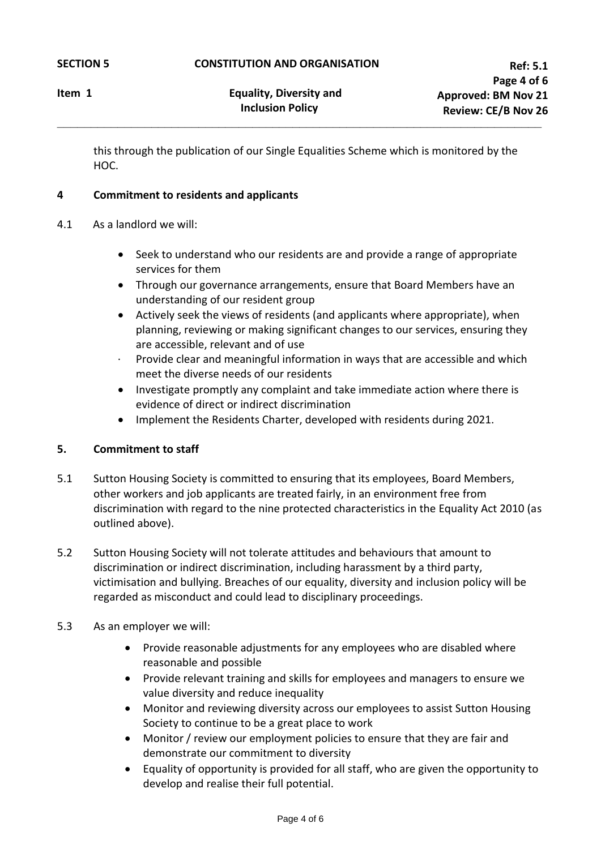this through the publication of our Single Equalities Scheme which is monitored by the HOC.

**\_\_\_\_\_\_\_\_\_\_\_\_\_\_\_\_\_\_\_\_\_\_\_\_\_\_\_\_\_\_\_\_\_\_\_\_\_\_\_\_\_\_\_\_\_\_\_\_\_\_\_\_\_\_\_\_\_\_\_\_\_\_\_\_\_\_\_\_\_\_\_\_**

# **4 Commitment to residents and applicants**

- 4.1 As a landlord we will:
	- Seek to understand who our residents are and provide a range of appropriate services for them
	- Through our governance arrangements, ensure that Board Members have an understanding of our resident group
	- Actively seek the views of residents (and applicants where appropriate), when planning, reviewing or making significant changes to our services, ensuring they are accessible, relevant and of use
	- Provide clear and meaningful information in ways that are accessible and which meet the diverse needs of our residents
	- Investigate promptly any complaint and take immediate action where there is evidence of direct or indirect discrimination
	- Implement the Residents Charter, developed with residents during 2021.

# **5. Commitment to staff**

- 5.1 Sutton Housing Society is committed to ensuring that its employees, Board Members, other workers and job applicants are treated fairly, in an environment free from discrimination with regard to the nine protected characteristics in the Equality Act 2010 (as outlined above).
- 5.2 Sutton Housing Society will not tolerate attitudes and behaviours that amount to discrimination or indirect discrimination, including harassment by a third party, victimisation and bullying. Breaches of our equality, diversity and inclusion policy will be regarded as misconduct and could lead to disciplinary proceedings.
- 5.3 As an employer we will:
	- Provide reasonable adjustments for any employees who are disabled where reasonable and possible
	- Provide relevant training and skills for employees and managers to ensure we value diversity and reduce inequality
	- Monitor and reviewing diversity across our employees to assist Sutton Housing Society to continue to be a great place to work
	- Monitor / review our employment policies to ensure that they are fair and demonstrate our commitment to diversity
	- Equality of opportunity is provided for all staff, who are given the opportunity to develop and realise their full potential.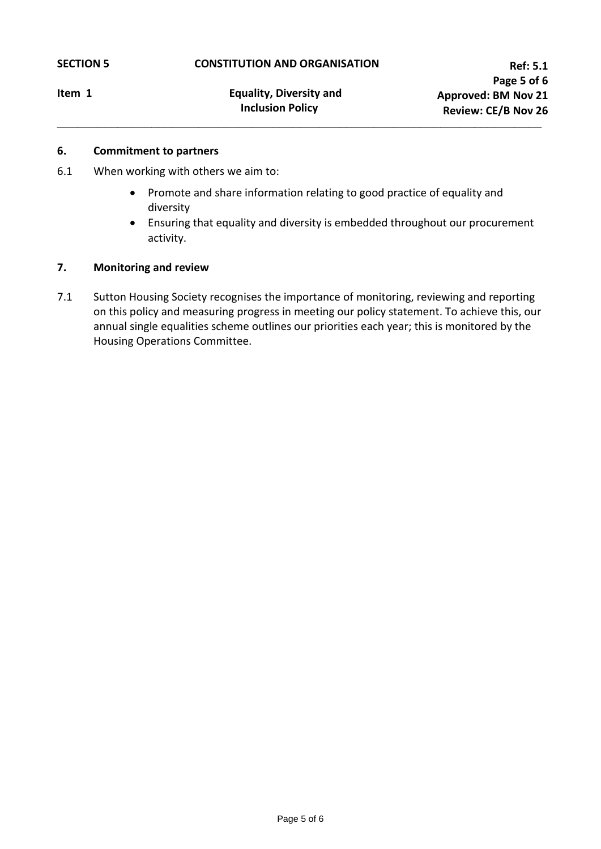**\_\_\_\_\_\_\_\_\_\_\_\_\_\_\_\_\_\_\_\_\_\_\_\_\_\_\_\_\_\_\_\_\_\_\_\_\_\_\_\_\_\_\_\_\_\_\_\_\_\_\_\_\_\_\_\_\_\_\_\_\_\_\_\_\_\_\_\_\_\_\_\_**

#### **6. Commitment to partners**

- 6.1 When working with others we aim to:
	- Promote and share information relating to good practice of equality and diversity
	- Ensuring that equality and diversity is embedded throughout our procurement activity.

### **7. Monitoring and review**

7.1 Sutton Housing Society recognises the importance of monitoring, reviewing and reporting on this policy and measuring progress in meeting our policy statement. To achieve this, our annual single equalities scheme outlines our priorities each year; this is monitored by the Housing Operations Committee.